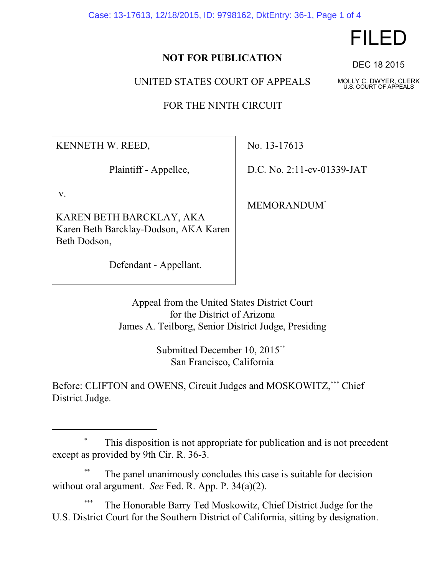Case: 13-17613, 12/18/2015, ID: 9798162, DktEntry: 36-1, Page 1 of 4

## **NOT FOR PUBLICATION**

UNITED STATES COURT OF APPEALS

FOR THE NINTH CIRCUIT

KENNETH W. REED,

Plaintiff - Appellee,

v.

KAREN BETH BARCKLAY, AKA Karen Beth Barcklay-Dodson, AKA Karen Beth Dodson,

Defendant - Appellant.

No. 13-17613

D.C. No. 2:11-cv-01339-JAT

MEMORANDUM\*

Appeal from the United States District Court for the District of Arizona James A. Teilborg, Senior District Judge, Presiding

> Submitted December 10, 2015\*\* San Francisco, California

Before: CLIFTON and OWENS, Circuit Judges and MOSKOWITZ,\*\*\* Chief District Judge.

## This disposition is not appropriate for publication and is not precedent except as provided by 9th Cir. R. 36-3.

The panel unanimously concludes this case is suitable for decision without oral argument. *See* Fed. R. App. P. 34(a)(2).

The Honorable Barry Ted Moskowitz, Chief District Judge for the U.S. District Court for the Southern District of California, sitting by designation.

## FILED

DEC 18 2015

MOLLY C. DWYER, CLERK U.S. COURT OF APPEALS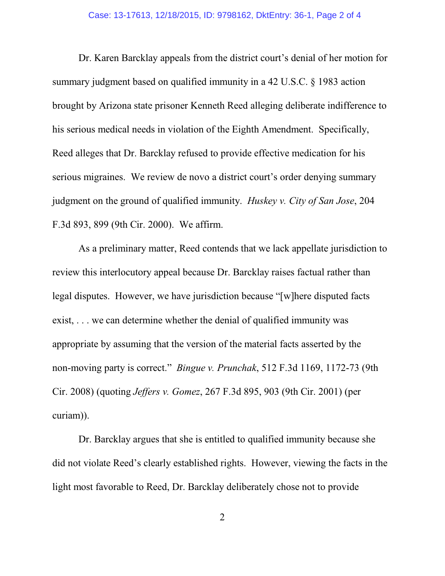Dr. Karen Barcklay appeals from the district court's denial of her motion for summary judgment based on qualified immunity in a 42 U.S.C. § 1983 action brought by Arizona state prisoner Kenneth Reed alleging deliberate indifference to his serious medical needs in violation of the Eighth Amendment. Specifically, Reed alleges that Dr. Barcklay refused to provide effective medication for his serious migraines. We review de novo a district court's order denying summary judgment on the ground of qualified immunity. *Huskey v. City of San Jose*, 204 F.3d 893, 899 (9th Cir. 2000). We affirm.

As a preliminary matter, Reed contends that we lack appellate jurisdiction to review this interlocutory appeal because Dr. Barcklay raises factual rather than legal disputes. However, we have jurisdiction because "[w]here disputed facts exist, . . . we can determine whether the denial of qualified immunity was appropriate by assuming that the version of the material facts asserted by the non-moving party is correct." *Bingue v. Prunchak*, 512 F.3d 1169, 1172-73 (9th Cir. 2008) (quoting *Jeffers v. Gomez*, 267 F.3d 895, 903 (9th Cir. 2001) (per curiam)).

Dr. Barcklay argues that she is entitled to qualified immunity because she did not violate Reed's clearly established rights. However, viewing the facts in the light most favorable to Reed, Dr. Barcklay deliberately chose not to provide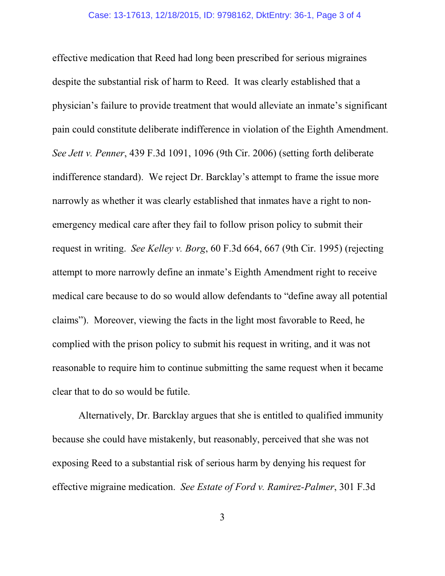effective medication that Reed had long been prescribed for serious migraines despite the substantial risk of harm to Reed. It was clearly established that a physician's failure to provide treatment that would alleviate an inmate's significant pain could constitute deliberate indifference in violation of the Eighth Amendment. *See Jett v. Penner*, 439 F.3d 1091, 1096 (9th Cir. 2006) (setting forth deliberate indifference standard). We reject Dr. Barcklay's attempt to frame the issue more narrowly as whether it was clearly established that inmates have a right to nonemergency medical care after they fail to follow prison policy to submit their request in writing. *See Kelley v. Borg*, 60 F.3d 664, 667 (9th Cir. 1995) (rejecting attempt to more narrowly define an inmate's Eighth Amendment right to receive medical care because to do so would allow defendants to "define away all potential claims"). Moreover, viewing the facts in the light most favorable to Reed, he complied with the prison policy to submit his request in writing, and it was not reasonable to require him to continue submitting the same request when it became clear that to do so would be futile.

Alternatively, Dr. Barcklay argues that she is entitled to qualified immunity because she could have mistakenly, but reasonably, perceived that she was not exposing Reed to a substantial risk of serious harm by denying his request for effective migraine medication. *See Estate of Ford v. Ramirez-Palmer*, 301 F.3d